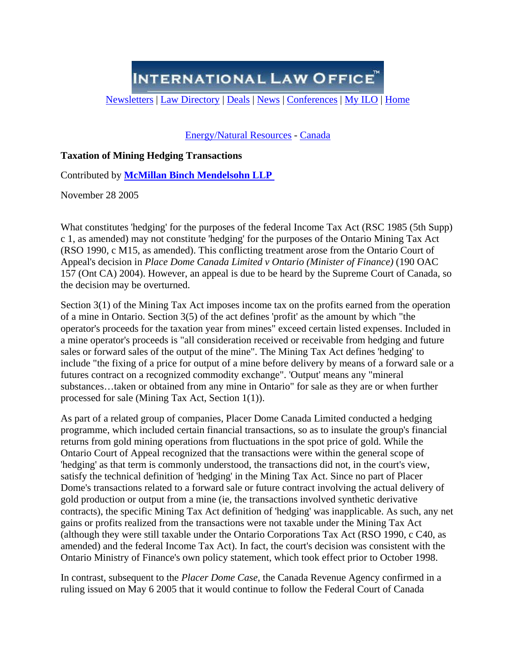**INTERNATIONAL LAW OFFICE** 

[Newsletters](http://www.internationallawoffice.com/Newsletters/) | [Law Directory](http://www.internationallawoffice.com/Directory/) | [Deals](http://www.internationallawoffice.com/Deals/) | [News](http://www.internationallawoffice.com/NewsArchive/) | [Conferences](http://www.internationallawoffice.com/Conferences/) | [My ILO](http://www.internationallawoffice.com/Information/MyILO.aspx) | Home

[Energy/Natural Resources](http://www.internationallawoffice.com/Newsletters/Results.aspx?wa=Energy%2fNatural+Resources) - [Canada](http://www.internationallawoffice.com/Newsletters/Results.aspx?c=Canada)

## **Taxation of Mining Hedging Transactions**

Contributed by **[McMillan Binch Mendelsohn LLP](http://www.internationallawoffice.com/Directory/Detail.aspx?r=4485)** 

November 28 2005

What constitutes 'hedging' for the purposes of the federal Income Tax Act (RSC 1985 (5th Supp) c 1, as amended) may not constitute 'hedging' for the purposes of the Ontario Mining Tax Act (RSO 1990, c M15, as amended). This conflicting treatment arose from the Ontario Court of Appeal's decision in *Place Dome Canada Limited v Ontario (Minister of Finance)* (190 OAC 157 (Ont CA) 2004). However, an appeal is due to be heard by the Supreme Court of Canada, so the decision may be overturned.

Section 3(1) of the Mining Tax Act imposes income tax on the profits earned from the operation of a mine in Ontario. Section 3(5) of the act defines 'profit' as the amount by which "the operator's proceeds for the taxation year from mines" exceed certain listed expenses. Included in a mine operator's proceeds is "all consideration received or receivable from hedging and future sales or forward sales of the output of the mine". The Mining Tax Act defines 'hedging' to include "the fixing of a price for output of a mine before delivery by means of a forward sale or a futures contract on a recognized commodity exchange". 'Output' means any "mineral substances…taken or obtained from any mine in Ontario" for sale as they are or when further processed for sale (Mining Tax Act, Section 1(1)).

As part of a related group of companies, Placer Dome Canada Limited conducted a hedging programme, which included certain financial transactions, so as to insulate the group's financial returns from gold mining operations from fluctuations in the spot price of gold. While the Ontario Court of Appeal recognized that the transactions were within the general scope of 'hedging' as that term is commonly understood, the transactions did not, in the court's view, satisfy the technical definition of 'hedging' in the Mining Tax Act. Since no part of Placer Dome's transactions related to a forward sale or future contract involving the actual delivery of gold production or output from a mine (ie, the transactions involved synthetic derivative contracts), the specific Mining Tax Act definition of 'hedging' was inapplicable. As such, any net gains or profits realized from the transactions were not taxable under the Mining Tax Act (although they were still taxable under the Ontario Corporations Tax Act (RSO 1990, c C40, as amended) and the federal Income Tax Act). In fact, the court's decision was consistent with the Ontario Ministry of Finance's own policy statement, which took effect prior to October 1998.

In contrast, subsequent to the *Placer Dome Case*, the Canada Revenue Agency confirmed in a ruling issued on May 6 2005 that it would continue to follow the Federal Court of Canada